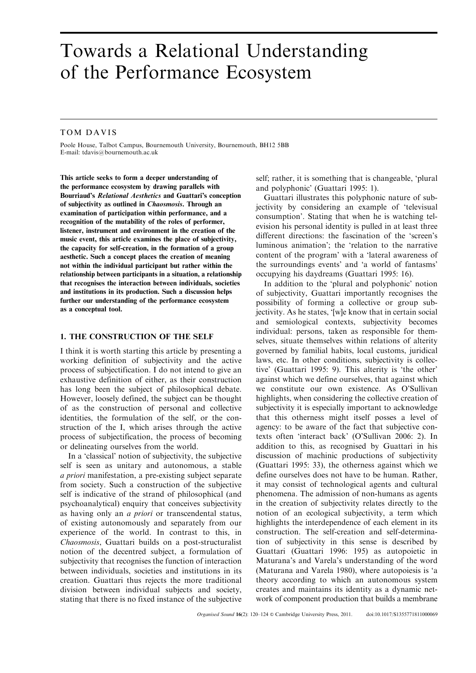# Towards a Relational Understanding of the Performance Ecosystem

## TOM DAVIS

Poole House, Talbot Campus, Bournemouth University, Bournemouth, BH12 5BB E-mail: tdavis@bournemouth.ac.uk

This article seeks to form a deeper understanding of the performance ecosystem by drawing parallels with Bourriaud's Relational Aesthetics and Guattari's conception of subjectivity as outlined in Chaosmosis. Through an examination of participation within performance, and a recognition of the mutability of the roles of performer, listener, instrument and environment in the creation of the music event, this article examines the place of subjectivity, the capacity for self-creation, in the formation of a group aesthetic. Such a concept places the creation of meaning not within the individual participant but rather within the relationship between participants in a situation, a relationship that recognises the interaction between individuals, societies and institutions in its production. Such a discussion helps further our understanding of the performance ecosystem as a conceptual tool.

## 1. THE CONSTRUCTION OF THE SELF

I think it is worth starting this article by presenting a working definition of subjectivity and the active process of subjectification. I do not intend to give an exhaustive definition of either, as their construction has long been the subject of philosophical debate. However, loosely defined, the subject can be thought of as the construction of personal and collective identities, the formulation of the self, or the construction of the I, which arises through the active process of subjectification, the process of becoming or delineating ourselves from the world.

In a 'classical' notion of subjectivity, the subjective self is seen as unitary and autonomous, a stable a priori manifestation, a pre-existing subject separate from society. Such a construction of the subjective self is indicative of the strand of philosophical (and psychoanalytical) enquiry that conceives subjectivity as having only an a priori or transcendental status, of existing autonomously and separately from our experience of the world. In contrast to this, in Chaosmosis, Guattari builds on a post-structuralist notion of the decentred subject, a formulation of subjectivity that recognises the function of interaction between individuals, societies and institutions in its creation. Guattari thus rejects the more traditional division between individual subjects and society, stating that there is no fixed instance of the subjective self; rather, it is something that is changeable, 'plural and polyphonic' (Guattari 1995: 1).

Guattari illustrates this polyphonic nature of subjectivity by considering an example of 'televisual consumption'. Stating that when he is watching television his personal identity is pulled in at least three different directions: the fascination of the 'screen's luminous animation'; the 'relation to the narrative content of the program' with a 'lateral awareness of the surroundings events' and 'a world of fantasms' occupying his daydreams (Guattari 1995: 16).

In addition to the 'plural and polyphonic' notion of subjectivity, Guattari importantly recognises the possibility of forming a collective or group subjectivity. As he states, '[w]e know that in certain social and semiological contexts, subjectivity becomes individual: persons, taken as responsible for themselves, situate themselves within relations of alterity governed by familial habits, local customs, juridical laws, etc. In other conditions, subjectivity is collective' (Guattari 1995: 9). This alterity is 'the other' against which we define ourselves, that against which we constitute our own existence. As O'Sullivan highlights, when considering the collective creation of subjectivity it is especially important to acknowledge that this otherness might itself posses a level of agency: to be aware of the fact that subjective contexts often 'interact back' (O'Sullivan 2006: 2). In addition to this, as recognised by Guattari in his discussion of machinic productions of subjectivity (Guattari 1995: 33), the otherness against which we define ourselves does not have to be human. Rather, it may consist of technological agents and cultural phenomena. The admission of non-humans as agents in the creation of subjectivity relates directly to the notion of an ecological subjectivity, a term which highlights the interdependence of each element in its construction. The self-creation and self-determination of subjectivity in this sense is described by Guattari (Guattari 1996: 195) as autopoietic in Maturana's and Varela's understanding of the word (Maturana and Varela 1980), where autopoiesis is 'a theory according to which an autonomous system creates and maintains its identity as a dynamic network of component production that builds a membrane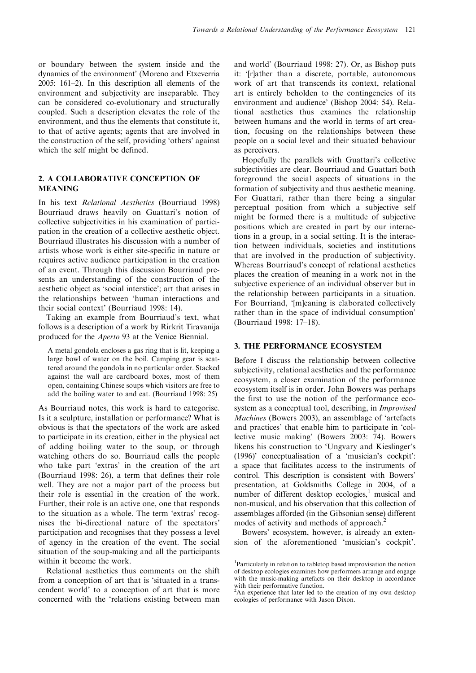or boundary between the system inside and the dynamics of the environment' (Moreno and Etxeverria 2005: 161–2). In this description all elements of the environment and subjectivity are inseparable. They can be considered co-evolutionary and structurally coupled. Such a description elevates the role of the environment, and thus the elements that constitute it, to that of active agents; agents that are involved in the construction of the self, providing 'others' against which the self might be defined.

## 2. A COLLABORATIVE CONCEPTION OF MEANING

In his text Relational Aesthetics (Bourriaud 1998) Bourriaud draws heavily on Guattari's notion of collective subjectivities in his examination of participation in the creation of a collective aesthetic object. Bourriaud illustrates his discussion with a number of artists whose work is either site-specific in nature or requires active audience participation in the creation of an event. Through this discussion Bourriaud presents an understanding of the construction of the aesthetic object as 'social interstice'; art that arises in the relationships between 'human interactions and their social context' (Bourriaud 1998: 14).

Taking an example from Bourriaud's text, what follows is a description of a work by Rirkrit Tiravanija produced for the Aperto 93 at the Venice Biennial.

A metal gondola encloses a gas ring that is lit, keeping a large bowl of water on the boil. Camping gear is scattered around the gondola in no particular order. Stacked against the wall are cardboard boxes, most of them open, containing Chinese soups which visitors are free to add the boiling water to and eat. (Bourriaud 1998: 25)

As Bourriaud notes, this work is hard to categorise. Is it a sculpture, installation or performance? What is obvious is that the spectators of the work are asked to participate in its creation, either in the physical act of adding boiling water to the soup, or through watching others do so. Bourriaud calls the people who take part 'extras' in the creation of the art (Bourriaud 1998: 26), a term that defines their role well. They are not a major part of the process but their role is essential in the creation of the work. Further, their role is an active one, one that responds to the situation as a whole. The term 'extras' recognises the bi-directional nature of the spectators' participation and recognises that they possess a level of agency in the creation of the event. The social situation of the soup-making and all the participants within it become the work.

Relational aesthetics thus comments on the shift from a conception of art that is 'situated in a transcendent world' to a conception of art that is more concerned with the 'relations existing between man and world' (Bourriaud 1998: 27). Or, as Bishop puts it: '[r]ather than a discrete, portable, autonomous work of art that transcends its context, relational art is entirely beholden to the contingencies of its environment and audience' (Bishop 2004: 54). Relational aesthetics thus examines the relationship between humans and the world in terms of art creation, focusing on the relationships between these people on a social level and their situated behaviour as perceivers.

Hopefully the parallels with Guattari's collective subjectivities are clear. Bourriaud and Guattari both foreground the social aspects of situations in the formation of subjectivity and thus aesthetic meaning. For Guattari, rather than there being a singular perceptual position from which a subjective self might be formed there is a multitude of subjective positions which are created in part by our interactions in a group, in a social setting. It is the interaction between individuals, societies and institutions that are involved in the production of subjectivity. Whereas Bourriaud's concept of relational aesthetics places the creation of meaning in a work not in the subjective experience of an individual observer but in the relationship between participants in a situation. For Bourriand, '[m]eaning is elaborated collectively rather than in the space of individual consumption' (Bourriaud 1998: 17–18).

### 3. THE PERFORMANCE ECOSYSTEM

Before I discuss the relationship between collective subjectivity, relational aesthetics and the performance ecosystem, a closer examination of the performance ecosystem itself is in order. John Bowers was perhaps the first to use the notion of the performance ecosystem as a conceptual tool, describing, in Improvised Machines (Bowers 2003), an assemblage of 'artefacts and practices' that enable him to participate in 'collective music making' (Bowers 2003: 74). Bowers likens his construction to 'Ungvary and Kieslinger's (1996)' conceptualisation of a 'musician's cockpit': a space that facilitates access to the instruments of control. This description is consistent with Bowers' presentation, at Goldsmiths College in 2004, of a number of different desktop ecologies, $<sup>1</sup>$  musical and</sup> non-musical, and his observation that this collection of assemblages afforded (in the Gibsonian sense) different modes of activity and methods of approach.<sup>2</sup>

Bowers' ecosystem, however, is already an extension of the aforementioned 'musician's cockpit'.

<sup>1</sup> Particularly in relation to tabletop based improvisation the notion of desktop ecologies examines how performers arrange and engage with the music-making artefacts on their desktop in accordance with their performative function.

<sup>&</sup>lt;sup>2</sup>An experience that later led to the creation of my own desktop ecologies of performance with Jason Dixon.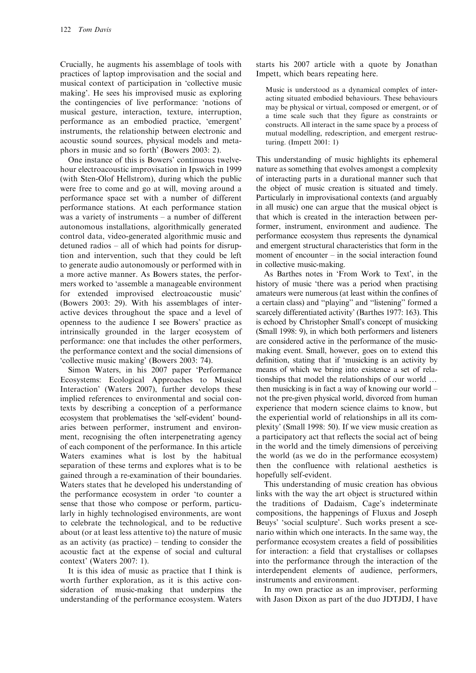Crucially, he augments his assemblage of tools with practices of laptop improvisation and the social and musical context of participation in 'collective music making'. He sees his improvised music as exploring the contingencies of live performance: 'notions of musical gesture, interaction, texture, interruption, performance as an embodied practice, 'emergent' instruments, the relationship between electronic and acoustic sound sources, physical models and metaphors in music and so forth' (Bowers 2003: 2).

One instance of this is Bowers' continuous twelvehour electroacoustic improvisation in Ipswich in 1999 (with Sten-Olof Hellstrom), during which the public were free to come and go at will, moving around a performance space set with a number of different performance stations. At each performance station was a variety of instruments – a number of different autonomous installations, algorithmically generated control data, video-generated algorithmic music and detuned radios – all of which had points for disruption and intervention, such that they could be left to generate audio autonomously or performed with in a more active manner. As Bowers states, the performers worked to 'assemble a manageable environment for extended improvised electroacoustic music' (Bowers 2003: 29). With his assemblages of interactive devices throughout the space and a level of openness to the audience I see Bowers' practice as intrinsically grounded in the larger ecosystem of performance: one that includes the other performers, the performance context and the social dimensions of 'collective music making' (Bowers 2003: 74).

Simon Waters, in his 2007 paper 'Performance Ecosystems: Ecological Approaches to Musical Interaction' (Waters 2007), further develops these implied references to environmental and social contexts by describing a conception of a performance ecosystem that problematises the 'self-evident' boundaries between performer, instrument and environment, recognising the often interpenetrating agency of each component of the performance. In this article Waters examines what is lost by the habitual separation of these terms and explores what is to be gained through a re-examination of their boundaries. Waters states that he developed his understanding of the performance ecosystem in order 'to counter a sense that those who compose or perform, particularly in highly technologised environments, are wont to celebrate the technological, and to be reductive about (or at least less attentive to) the nature of music as an activity (as practice) – tending to consider the acoustic fact at the expense of social and cultural context' (Waters 2007: 1).

It is this idea of music as practice that I think is worth further exploration, as it is this active consideration of music-making that underpins the understanding of the performance ecosystem. Waters starts his 2007 article with a quote by Jonathan Impett, which bears repeating here.

Music is understood as a dynamical complex of interacting situated embodied behaviours. These behaviours may be physical or virtual, composed or emergent, or of a time scale such that they figure as constraints or constructs. All interact in the same space by a process of mutual modelling, redescription, and emergent restructuring. (Impett 2001: 1)

This understanding of music highlights its ephemeral nature as something that evolves amongst a complexity of interacting parts in a durational manner such that the object of music creation is situated and timely. Particularly in improvisational contexts (and arguably in all music) one can argue that the musical object is that which is created in the interaction between performer, instrument, environment and audience. The performance ecosystem thus represents the dynamical and emergent structural characteristics that form in the moment of encounter – in the social interaction found in collective music-making.

As Barthes notes in 'From Work to Text', in the history of music 'there was a period when practising amateurs were numerous (at least within the confines of a certain class) and ''playing'' and ''listening'' formed a scarcely differentiated activity' (Barthes 1977: 163). This is echoed by Christopher Small's concept of musicking (Small 1998: 9), in which both performers and listeners are considered active in the performance of the musicmaking event. Small, however, goes on to extend this definition, stating that if 'musicking is an activity by means of which we bring into existence a set of relationships that model the relationships of our world ... then musicking is in fact a way of knowing our world – not the pre-given physical world, divorced from human experience that modern science claims to know, but the experiential world of relationships in all its complexity' (Small 1998: 50). If we view music creation as a participatory act that reflects the social act of being in the world and the timely dimensions of perceiving the world (as we do in the performance ecosystem) then the confluence with relational aesthetics is hopefully self-evident.

This understanding of music creation has obvious links with the way the art object is structured within the traditions of Dadaism, Cage's indeterminate compositions, the happenings of Fluxus and Joseph Beuys' 'social sculpture'. Such works present a scenario within which one interacts. In the same way, the performance ecosystem creates a field of possibilities for interaction: a field that crystallises or collapses into the performance through the interaction of the interdependent elements of audience, performers, instruments and environment.

In my own practice as an improviser, performing with Jason Dixon as part of the duo JDTJDJ, I have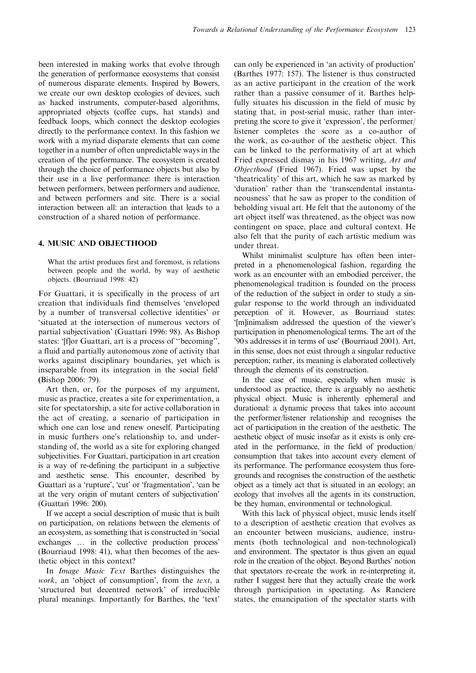been interested in making works that evolve through the generation of performance ecosystems that consist of numerous disparate elements. Inspired by Bowers, we create our own desktop ecologies of devices, such as hacked instruments, computer-based algorithms, appropriated objects (coffee cups, hat stands) and feedback loops, which connect the desktop ecologies directly to the performance context. In this fashion we work with a myriad disparate elements that can come together in a number of often unpredictable ways in the creation of the performance. The ecosystem is created through the choice of performance objects but also by their use in a live performance: there is interaction between performers, between performers and audience, and between performers and site. There is a social interaction between all: an interaction that leads to a construction of a shared notion of performance.

#### 4. MUSIC AND OBJECTHOOD

What the artist produces first and foremost, is relations between people and the world, by way of aesthetic objects. (Bourriaud 1998: 42)

For Guattari, it is specifically in the process of art creation that individuals find themselves 'enveloped by a number of transversal collective identities' or 'situated at the intersection of numerous vectors of partial subjectivation' (Guattari 1996: 98). As Bishop states: '[f]or Guattari, art is a process of ''becoming'', a fluid and partially autonomous zone of activity that works against disciplinary boundaries, yet which is inseparable from its integration in the social field' (Bishop 2006: 79).

Art then, or, for the purposes of my argument, music as practice, creates a site for experimentation, a site for spectatorship, a site for active collaboration in the act of creating, a scenario of participation in which one can lose and renew oneself. Participating in music furthers one's relationship to, and understanding of, the world as a site for exploring changed subjectivities. For Guattari, participation in art creation is a way of re-defining the participant in a subjective and aesthetic sense. This encounter, described by Guattari as a 'rupture', 'cut' or 'fragmentation', 'can be at the very origin of mutant centers of subjectivation' (Guattari 1996: 200).

If we accept a social description of music that is built on participation, on relations between the elements of an ecosystem, as something that is constructed in 'social exchanges ... in the collective production process' (Bourriaud 1998: 41), what then becomes of the aesthetic object in this context?

In Image Music Text Barthes distinguishes the work, an 'object of consumption', from the text, a 'structured but decentred network' of irreducible plural meanings. Importantly for Barthes, the 'text' can only be experienced in 'an activity of production' (Barthes 1977: 157). The listener is thus constructed as an active participant in the creation of the work rather than a passive consumer of it. Barthes helpfully situates his discussion in the field of music by stating that, in post-serial music, rather than interpreting the score to give it 'expression', the performer/ listener completes the score as a co-author of the work, as co-author of the aesthetic object. This can be linked to the performativity of art at which Fried expressed dismay in his 1967 writing, Art and Objecthood (Fried 1967). Fried was upset by the 'theatricality' of this art, which he saw as marked by 'duration' rather than the 'transcendental instantaneousness' that he saw as proper to the condition of beholding visual art. He felt that the autonomy of the art object itself was threatened, as the object was now contingent on space, place and cultural context. He also felt that the purity of each artistic medium was under threat.

Whilst minimalist sculpture has often been interpreted in a phenomenological fashion, regarding the work as an encounter with an embodied perceiver, the phenomenological tradition is founded on the process of the reduction of the subject in order to study a singular response to the world through an individuated perception of it. However, as Bourriaud states: '[m]inimalism addressed the question of the viewer's participation in phenomenological terms. The art of the '90 s addresses it in terms of use' (Bourriaud 2001). Art, in this sense, does not exist through a singular reductive perception; rather, its meaning is elaborated collectively through the elements of its construction.

In the case of music, especially when music is understood as practice, there is arguably no aesthetic physical object. Music is inherently ephemeral and durational: a dynamic process that takes into account the performer/listener relationship and recognises the act of participation in the creation of the aesthetic. The aesthetic object of music insofar as it exists is only created in the performance, in the field of production/ consumption that takes into account every element of its performance. The performance ecosystem thus foregrounds and recognises the construction of the aesthetic object as a timely act that is situated in an ecology; an ecology that involves all the agents in its construction, be they human, environmental or technological.

With this lack of physical object, music lends itself to a description of aesthetic creation that evolves as an encounter between musicians, audience, instruments (both technological and non-technological) and environment. The spectator is thus given an equal role in the creation of the object. Beyond Barthes' notion that spectators re-create the work in re-interpreting it, rather I suggest here that they actually create the work through participation in spectating. As Ranciere states, the emancipation of the spectator starts with